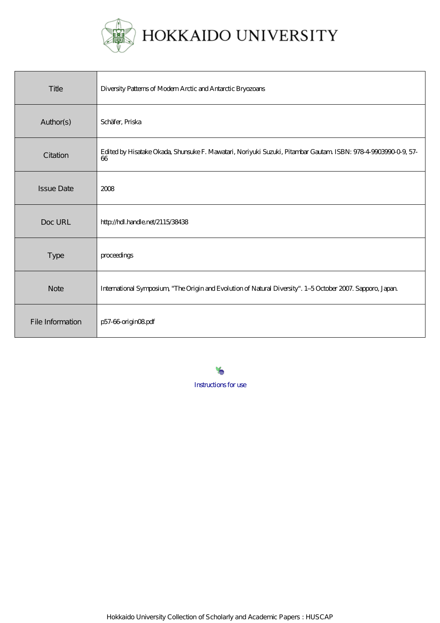

| Title             | Diversity Patterns of Modern Arctic and Antarctic Bryozoans                                                         |
|-------------------|---------------------------------------------------------------------------------------------------------------------|
| Author(s)         | Schäfer, Priska                                                                                                     |
| Citation          | Edited by Hisatake Okada, Shunsuke F. Mawatari, Noriyuki Suzuki, Pitambar Gautam ISBN: 978-4-9903990-0-9, 57-<br>66 |
| <b>Issue Date</b> | 2008                                                                                                                |
| Doc URL           | http://hdl.handle.net/2115/38438                                                                                    |
| <b>Type</b>       | proceedings                                                                                                         |
| <b>Note</b>       | International Symposium, "The Origin and Evolution of Natural Diversity". 1-5 October 2007. Sapporo, Japan          |
| File Information  | p57-66 origin08pdf                                                                                                  |

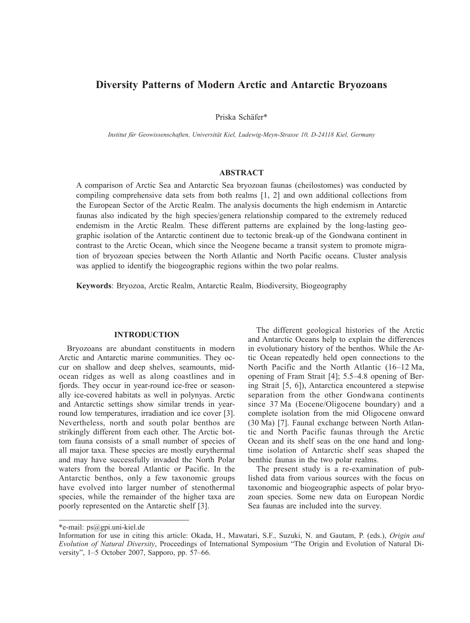# **Diversity Patterns of Modern Arctic and Antarctic Bryozoans**

Priska Schäfer\*

*Institut für Geowissenschaften, Universität Kiel, Ludewig-Meyn-Strasse 10, D-24118 Kiel, Germany*

# **ABSTRACT**

A comparison of Arctic Sea and Antarctic Sea bryozoan faunas (cheilostomes) was conducted by compiling comprehensive data sets from both realms [1, 2] and own additional collections from the European Sector of the Arctic Realm. The analysis documents the high endemism in Antarctic faunas also indicated by the high species/genera relationship compared to the extremely reduced endemism in the Arctic Realm. These different patterns are explained by the long-lasting geographic isolation of the Antarctic continent due to tectonic break-up of the Gondwana continent in contrast to the Arctic Ocean, which since the Neogene became a transit system to promote migration of bryozoan species between the North Atlantic and North Pacific oceans. Cluster analysis was applied to identify the biogeographic regions within the two polar realms.

**Keywords**: Bryozoa, Arctic Realm, Antarctic Realm, Biodiversity, Biogeography

## **INTRODUCTION**

Bryozoans are abundant constituents in modern Arctic and Antarctic marine communities. They occur on shallow and deep shelves, seamounts, midocean ridges as well as along coastlines and in fjords. They occur in year-round ice-free or seasonally ice-covered habitats as well in polynyas. Arctic and Antarctic settings show similar trends in yearround low temperatures, irradiation and ice cover [3]. Nevertheless, north and south polar benthos are strikingly different from each other. The Arctic bottom fauna consists of a small number of species of all major taxa. These species are mostly eurythermal and may have successfully invaded the North Polar waters from the boreal Atlantic or Pacific. In the Antarctic benthos, only a few taxonomic groups have evolved into larger number of stenothermal species, while the remainder of the higher taxa are poorly represented on the Antarctic shelf [3].

The different geological histories of the Arctic and Antarctic Oceans help to explain the differences in evolutionary history of the benthos. While the Artic Ocean repeatedly held open connections to the North Pacific and the North Atlantic (16–12 Ma, opening of Fram Strait [4]; 5.5–4.8 opening of Bering Strait [5, 6]), Antarctica encountered a stepwise separation from the other Gondwana continents since 37 Ma (Eocene/Oligocene boundary) and a complete isolation from the mid Oligocene onward (30 Ma) [7]. Faunal exchange between North Atlantic and North Pacific faunas through the Arctic Ocean and its shelf seas on the one hand and longtime isolation of Antarctic shelf seas shaped the benthic faunas in the two polar realms.

The present study is a re-examination of published data from various sources with the focus on taxonomic and biogeographic aspects of polar bryozoan species. Some new data on European Nordic Sea faunas are included into the survey.

<sup>\*</sup>e-mail: ps@gpi.uni-kiel.de

Information for use in citing this article: Okada, H., Mawatari, S.F., Suzuki, N. and Gautam, P. (eds.), *Origin and Evolution of Natural Diversity*, Proceedings of International Symposium "The Origin and Evolution of Natural Diversity", 1–5 October 2007, Sapporo, pp. 57–66.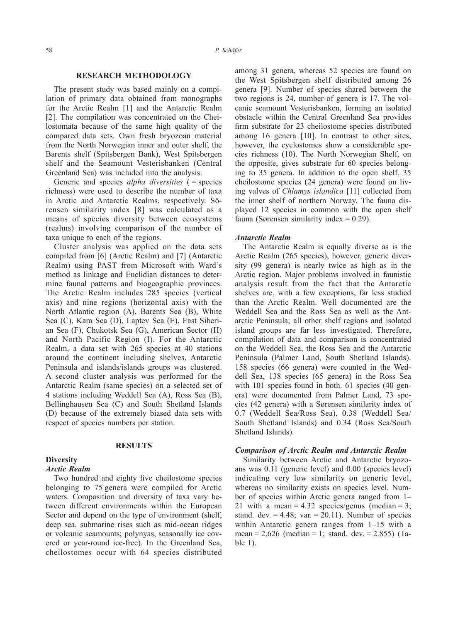## **RESEARCH METHODOLOGY**

The present study was based mainly on a compilation of primary data obtained from monographs for the Arctic Realm [1] and the Antarctic Realm [2]. The compilation was concentrated on the Cheilostomata because of the same high quality of the compared data sets. Own fresh bryozoan material from the North Norwegian inner and outer shelf, the Barents shelf (Spitsbergen Bank), West Spitsbergen shelf and the Seamount Vesterisbanken (Central Greenland Sea) was included into the analysis.

Generic and species *alpha diversities* ( = species richness) were used to describe the number of taxa in Arctic and Antarctic Realms, respectively. Sörensen similarity index [8] was calculated as a means of species diversity between ecosystems (realms) involving comparison of the number of taxa unique to each of the regions.

Cluster analysis was applied on the data sets compiled from [6] (Arctic Realm) and [7] (Antarctic Realm) using PAST from Microsoft with Ward's method as linkage and Euclidian distances to determine faunal patterns and biogeographic provinces. The Arctic Realm includes 285 species (vertical axis) and nine regions (horizontal axis) with the North Atlantic region (A), Barents Sea (B), White Sea (C), Kara Sea (D), Laptev Sea (E), East Siberian Sea (F), Chukotsk Sea (G), American Sector (H) and North Pacific Region (I). For the Antarctic Realm, a data set with 265 species at 40 stations around the continent including shelves, Antarctic Peninsula and islands/islands groups was clustered. A second cluster analysis was performed for the Antarctic Realm (same species) on a selected set of 4 stations including Weddell Sea (A), Ross Sea (B), Bellinghausen Sea (C) and South Shetland Islands (D) because of the extremely biased data sets with respect of species numbers per station.

## **RESULTS**

## **Diversity**

## *Arctic Realm*

Two hundred and eighty five cheilostome species belonging to 75 genera were compiled for Arctic waters. Composition and diversity of taxa vary between different environments within the European Sector and depend on the type of environment (shelf, deep sea, submarine rises such as mid-ocean ridges or volcanic seamounts; polynyas, seasonally ice covered or year-round ice-free). In the Greenland Sea, cheilostomes occur with 64 species distributed among 31 genera, whereas 52 species are found on the West Spitsbergen shelf distributed among 26 genera [9]. Number of species shared between the two regions is 24, number of genera is 17. The volcanic seamount Vesterisbanken, forming an isolated obstacle within the Central Greenland Sea provides firm substrate for 23 cheilostome species distributed among 16 genera [10]. In contrast to other sites, however, the cyclostomes show a considerable species richness (10). The North Norwegian Shelf, on the opposite, gives substrate for 60 species belonging to 35 genera. In addition to the open shelf, 35 cheilostome species (24 genera) were found on living valves of *Chlamys islandica* [11] collected from the inner shelf of northern Norway. The fauna displayed 12 species in common with the open shelf fauna (Sørensen similarity index  $= 0.29$ ).

#### *Antarctic Realm*

The Antarctic Realm is equally diverse as is the Arctic Realm (265 species), however, generic diversity (99 genera) is nearly twice as high as in the Arctic region. Major problems involved in faunistic analysis result from the fact that the Antarctic shelves are, with a few exceptions, far less studied than the Arctic Realm. Well documented are the Weddell Sea and the Ross Sea as well as the Antarctic Peninsula; all other shelf regions and isolated island groups are far less investigated. Therefore, compilation of data and comparison is concentrated on the Weddell Sea, the Ross Sea and the Antarctic Peninsula (Palmer Land, South Shetland Islands). 158 species (66 genera) were counted in the Weddell Sea, 138 species (65 genera) in the Ross Sea with 101 species found in both. 61 species (40 genera) were documented from Palmer Land, 73 species (42 genera) with a Sørensen similarity index of 0.7 (Weddell Sea/Ross Sea), 0.38 (Weddell Sea/ South Shetland Islands) and 0.34 (Ross Sea/South Shetland Islands).

#### *Comparison of Arctic Realm and Antarctic Realm*

Similarity between Arctic and Antarctic bryozoans was 0.11 (generic level) and 0.00 (species level) indicating very low similarity on generic level, whereas no similarity exists on species level. Number of species within Arctic genera ranged from 1– 21 with a mean  $= 4.32$  species/genus (median  $= 3$ ; stand. dev.  $= 4.48$ ; var.  $= 20.11$ ). Number of species within Antarctic genera ranges from 1–15 with a mean =  $2.626$  (median = 1; stand. dev. =  $2.855$ ) (Table 1).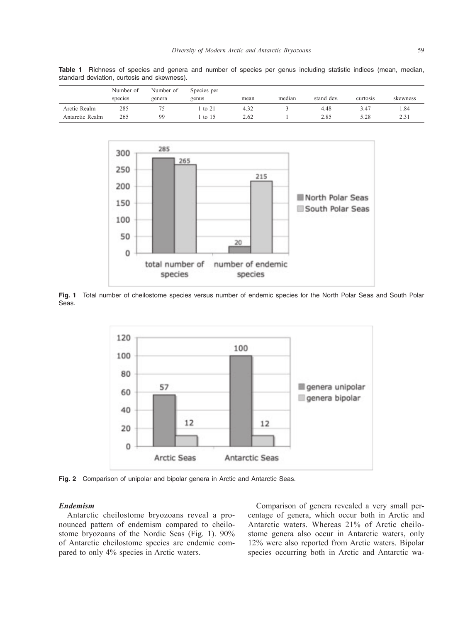|                 | Number of | Number of | Species per |      |        |            |          |          |
|-----------------|-----------|-----------|-------------|------|--------|------------|----------|----------|
|                 | species   | genera    | genus       | mean | median | stand dev. | curtosis | skewness |
| Arctic Realm    | 285       |           | to 21       | 4.32 |        | 4.48       | 3.47     | 1.84     |
| Antarctic Realm | 265       | 99        | to $15$     | 2.62 |        | 2.85       | 5.28     | 2.31     |

**Table 1** Richness of species and genera and number of species per genus including statistic indices (mean, median, standard deviation, curtosis and skewness).



**Fig. 1** Total number of cheilostome species versus number of endemic species for the North Polar Seas and South Polar Seas.



**Fig. 2** Comparison of unipolar and bipolar genera in Arctic and Antarctic Seas.

## *Endemism*

Antarctic cheilostome bryozoans reveal a pronounced pattern of endemism compared to cheilostome bryozoans of the Nordic Seas (Fig. 1). 90% of Antarctic cheilostome species are endemic compared to only 4% species in Arctic waters.

Comparison of genera revealed a very small percentage of genera, which occur both in Arctic and Antarctic waters. Whereas 21% of Arctic cheilostome genera also occur in Antarctic waters, only 12% were also reported from Arctic waters. Bipolar species occurring both in Arctic and Antarctic wa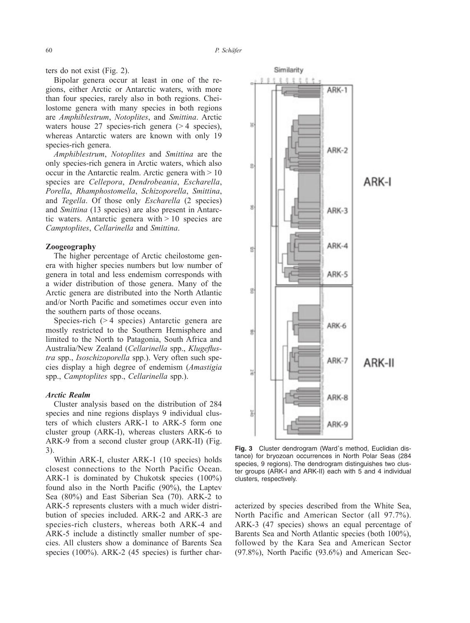ters do not exist (Fig. 2).

Bipolar genera occur at least in one of the regions, either Arctic or Antarctic waters, with more than four species, rarely also in both regions. Cheilostome genera with many species in both regions are *Amphiblestrum*, *Notoplites*, and *Smittina*. Arctic waters house 27 species-rich genera  $(> 4$  species), whereas Antarctic waters are known with only 19 species-rich genera.

*Amphiblestrum*, *Notoplites* and *Smittina* are the only species-rich genera in Arctic waters, which also occur in the Antarctic realm. Arctic genera with  $> 10$ species are *Cellepora*, *Dendrobeania*, *Escharella*, *Porella*, *Rhamphostomella*, *Schizoporella*, *Smittina*, and *Tegella*. Of those only *Escharella* (2 species) and *Smittina* (13 species) are also present in Antarctic waters. Antarctic genera with  $> 10$  species are *Camptoplites*, *Cellarinella* and *Smittina*.

## **Zoogeography**

The higher percentage of Arctic cheilostome genera with higher species numbers but low number of genera in total and less endemism corresponds with a wider distribution of those genera. Many of the Arctic genera are distributed into the North Atlantic and/or North Pacific and sometimes occur even into the southern parts of those oceans.

Species-rich (> 4 species) Antarctic genera are mostly restricted to the Southern Hemisphere and limited to the North to Patagonia, South Africa and Australia/New Zealand (*Cellarinella* spp., *Klugeflustra* spp., *Isoschizoporella* spp.). Very often such species display a high degree of endemism (*Amastigia* spp., *Camptoplites* spp., *Cellarinella* spp.).

## *Arctic Realm*

Cluster analysis based on the distribution of 284 species and nine regions displays 9 individual clusters of which clusters ARK-1 to ARK-5 form one cluster group (ARK-I), whereas clusters ARK-6 to ARK-9 from a second cluster group (ARK-II) (Fig. 3).

Within ARK-I, cluster ARK-1 (10 species) holds closest connections to the North Pacific Ocean. ARK-1 is dominated by Chukotsk species (100%) found also in the North Pacific (90%), the Laptev Sea (80%) and East Siberian Sea (70). ARK-2 to ARK-5 represents clusters with a much wider distribution of species included. ARK-2 and ARK-3 are species-rich clusters, whereas both ARK-4 and ARK-5 include a distinctly smaller number of species. All clusters show a dominance of Barents Sea species (100%). ARK-2 (45 species) is further char-



**Fig. 3** Cluster dendrogram (Ward's method, Euclidian distance) for bryozoan occurrences in North Polar Seas (284 species, 9 regions). The dendrogram distinguishes two cluster groups (ARK-I and ARK-II) each with 5 and 4 individual clusters, respectively.

acterized by species described from the White Sea, North Pacific and American Sector (all 97.7%). ARK-3 (47 species) shows an equal percentage of Barents Sea and North Atlantic species (both 100%), followed by the Kara Sea and American Sector (97.8%), North Pacific (93.6%) and American Sec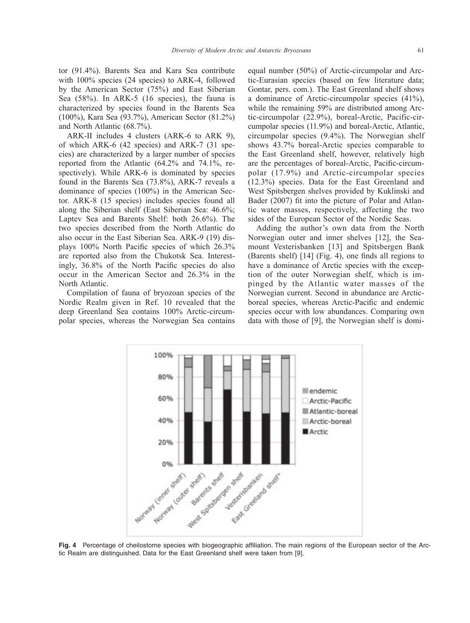tor (91.4%). Barents Sea and Kara Sea contribute with 100% species (24 species) to ARK-4, followed by the American Sector (75%) and East Siberian Sea (58%). In ARK-5 (16 species), the fauna is characterized by species found in the Barents Sea (100%), Kara Sea (93.7%), American Sector (81.2%) and North Atlantic (68.7%).

ARK-II includes 4 clusters (ARK-6 to ARK 9), of which ARK-6 (42 species) and ARK-7 (31 species) are characterized by a larger number of species reported from the Atlantic (64.2% and 74.1%, respectively). While ARK-6 is dominated by species found in the Barents Sea (73.8%), ARK-7 reveals a dominance of species (100%) in the American Sector. ARK-8 (15 species) includes species found all along the Siberian shelf (East Siberian Sea: 46.6%; Laptev Sea and Barents Shelf: both 26.6%). The two species described from the North Atlantic do also occur in the East Siberian Sea. ARK-9 (19) displays 100% North Pacific species of which 26.3% are reported also from the Chukotsk Sea. Interestingly, 36.8% of the North Pacific species do also occur in the American Sector and 26.3% in the North Atlantic.

Compilation of fauna of bryozoan species of the Nordic Realm given in Ref. 10 revealed that the deep Greenland Sea contains 100% Arctic-circumpolar species, whereas the Norwegian Sea contains equal number (50%) of Arctic-circumpolar and Arctic-Eurasian species (based on few literature data; Gontar, pers. com.). The East Greenland shelf shows a dominance of Arctic-circumpolar species (41%), while the remaining 59% are distributed among Arctic-circumpolar (22.9%), boreal-Arctic, Pacific-circumpolar species (11.9%) and boreal-Arctic, Atlantic, circumpolar species (9.4%). The Norwegian shelf shows 43.7% boreal-Arctic species comparable to the East Greenland shelf, however, relatively high are the percentages of boreal-Arctic, Pacific-circumpolar (17.9%) and Arctic-circumpolar species (12.3%) species. Data for the East Greenland and West Spitsbergen shelves provided by Kuklinski and Bader (2007) fit into the picture of Polar and Atlantic water masses, respectively, affecting the two sides of the European Sector of the Nordic Seas.

Adding the author's own data from the North Norwegian outer and inner shelves [12], the Seamount Vesterisbanken [13] and Spitsbergen Bank (Barents shelf) [14] (Fig. 4), one finds all regions to have a dominance of Arctic species with the exception of the outer Norwegian shelf, which is impinged by the Atlantic water masses of the Norwegian current. Second in abundance are Arcticboreal species, whereas Arctic-Pacific and endemic species occur with low abundances. Comparing own data with those of [9], the Norwegian shelf is domi-



tic Realm are distinguished. Data for the East Greenland shelf were taken from [9].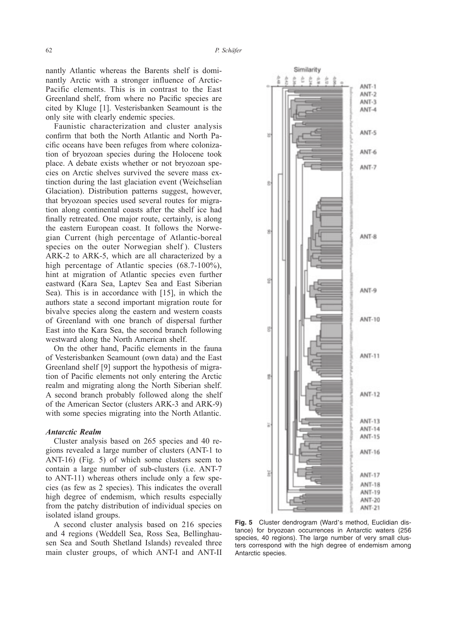nantly Atlantic whereas the Barents shelf is dominantly Arctic with a stronger influence of Arctic-Pacific elements. This is in contrast to the East Greenland shelf, from where no Pacific species are cited by Kluge [1]. Vesterisbanken Seamount is the only site with clearly endemic species.

Faunistic characterization and cluster analysis confirm that both the North Atlantic and North Pacific oceans have been refuges from where colonization of bryozoan species during the Holocene took place. A debate exists whether or not bryozoan species on Arctic shelves survived the severe mass extinction during the last glaciation event (Weichselian Glaciation). Distribution patterns suggest, however, that bryozoan species used several routes for migration along continental coasts after the shelf ice had finally retreated. One major route, certainly, is along the eastern European coast. It follows the Norwegian Current (high percentage of Atlantic-boreal species on the outer Norwegian shelf ). Clusters ARK-2 to ARK-5, which are all characterized by a high percentage of Atlantic species (68.7-100%), hint at migration of Atlantic species even further eastward (Kara Sea, Laptev Sea and East Siberian Sea). This is in accordance with [15], in which the authors state a second important migration route for bivalve species along the eastern and western coasts of Greenland with one branch of dispersal further East into the Kara Sea, the second branch following westward along the North American shelf.

On the other hand, Pacific elements in the fauna of Vesterisbanken Seamount (own data) and the East Greenland shelf [9] support the hypothesis of migration of Pacific elements not only entering the Arctic realm and migrating along the North Siberian shelf. A second branch probably followed along the shelf of the American Sector (clusters ARK-3 and ARK-9) with some species migrating into the North Atlantic.

#### *Antarctic Realm*

Cluster analysis based on 265 species and 40 regions revealed a large number of clusters (ANT-1 to ANT-16) (Fig. 5) of which some clusters seem to contain a large number of sub-clusters (i.e. ANT-7 to ANT-11) whereas others include only a few species (as few as 2 species). This indicates the overall high degree of endemism, which results especially from the patchy distribution of individual species on isolated island groups.

A second cluster analysis based on 216 species and 4 regions (Weddell Sea, Ross Sea, Bellinghausen Sea and South Shetland Islands) revealed three main cluster groups, of which ANT-I and ANT-II



**Fig. 5** Cluster dendrogram (Ward's method, Euclidian distance) for bryozoan occurrences in Antarctic waters (256 species, 40 regions). The large number of very small clusters correspond with the high degree of endemism among Antarctic species.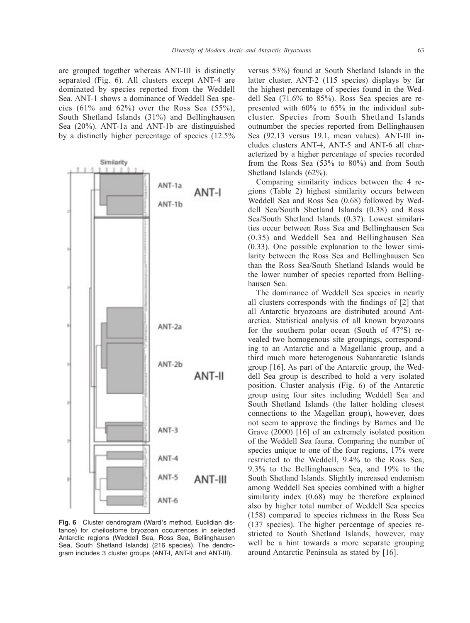are grouped together whereas ANT-III is distinctly separated (Fig. 6). All clusters except ANT-4 are dominated by species reported from the Weddell Sea. ANT-1 shows a dominance of Weddell Sea species (61% and 62%) over the Ross Sea (55%), South Shetland Islands (31%) and Bellinghausen Sea (20%). ANT-1a and ANT-1b are distinguished by a distinctly higher percentage of species (12.5%



**Fig. 6** Cluster dendrogram (Ward's method, Euclidian distance) for cheilostome bryozoan occurrences in selected Antarctic regions (Weddell Sea, Ross Sea, Bellinghausen Sea, South Shetland Islands) (216 species). The dendrogram includes 3 cluster groups (ANT-I, ANT-II and ANT-III).

versus 53%) found at South Shetland Islands in the latter cluster. ANT-2 (115 species) displays by far the highest percentage of species found in the Weddell Sea (71.6% to 85%). Ross Sea species are represented with 60% to 65% in the individual subcluster. Species from South Shetland Islands outnumber the species reported from Bellinghausen Sea (92.13 versus 19.1, mean values). ANT-III includes clusters ANT-4, ANT-5 and ANT-6 all characterized by a higher percentage of species recorded from the Ross Sea (53% to 80%) and from South Shetland Islands (62%).

Comparing similarity indices between the 4 regions (Table 2) highest similarity occurs between Weddell Sea and Ross Sea (0.68) followed by Weddell Sea/South Shetland Islands (0.38) and Ross Sea/South Shetland Islands (0.37). Lowest similarities occur between Ross Sea and Bellinghausen Sea (0.35) and Weddell Sea and Bellinghausen Sea (0.33). One possible explanation to the lower similarity between the Ross Sea and Bellinghausen Sea than the Ross Sea/South Shetland Islands would be the lower number of species reported from Bellinghausen Sea.

The dominance of Weddell Sea species in nearly all clusters corresponds with the findings of [2] that all Antarctic bryozoans are distributed around Antarctica. Statistical analysis of all known bryozoans for the southern polar ocean (South of 47°S) revealed two homogenous site groupings, corresponding to an Antarctic and a Magellanic group, and a third much more heterogenous Subantarctic Islands group [16]. As part of the Antarctic group, the Weddell Sea group is described to hold a very isolated position. Cluster analysis (Fig. 6) of the Antarctic group using four sites including Weddell Sea and South Shetland Islands (the latter holding closest connections to the Magellan group), however, does not seem to approve the findings by Barnes and De Grave (2000) [16] of an extremely isolated position of the Weddell Sea fauna. Comparing the number of species unique to one of the four regions, 17% were restricted to the Weddell, 9.4% to the Ross Sea, 9.3% to the Bellinghausen Sea, and 19% to the South Shetland Islands. Slightly increased endemism among Weddell Sea species combined with a higher similarity index (0.68) may be therefore explained also by higher total number of Weddell Sea species (158) compared to species richness in the Ross Sea (137 species). The higher percentage of species restricted to South Shetland Islands, however, may well be a hint towards a more separate grouping around Antarctic Peninsula as stated by [16].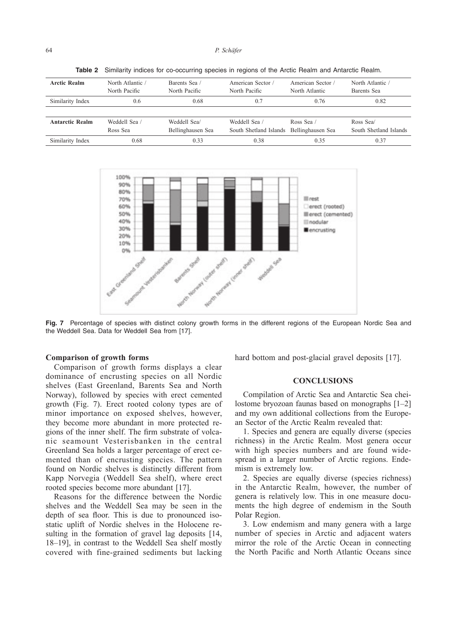| <b>Arctic Realm</b>    | North Atlantic | Barents Sea /     | American Sector        | American Sector / | North Atlantic /       |
|------------------------|----------------|-------------------|------------------------|-------------------|------------------------|
|                        | North Pacific  | North Pacific     | North Pacific          | North Atlantic    | Barents Sea            |
| Similarity Index       | 0.6            | 0.68              | 0.7                    | 0.76              | 0.82                   |
|                        |                |                   |                        |                   |                        |
| <b>Antarctic Realm</b> | Weddell Sea /  | Weddell Sea/      | Weddell Sea /          | Ross Sea /        | Ross Sea               |
|                        | Ross Sea       | Bellinghausen Sea | South Shetland Islands | Bellinghausen Sea | South Shetland Islands |
| Similarity Index       | 0.68           | 0.33              | 0.38                   | 0.35              | 0.37                   |

Table 2 Similarity indices for co-occurring species in regions of the Arctic Realm and Antarctic Realm.



Fig. 7 Percentage of species with distinct colony growth forms in the different regions of the European Nordic Sea and the Weddell Sea. Data for Weddell Sea from [17].

## **Comparison of growth forms**

Comparison of growth forms displays a clear dominance of encrusting species on all Nordic shelves (East Greenland, Barents Sea and North Norway), followed by species with erect cemented growth (Fig. 7). Erect rooted colony types are of minor importance on exposed shelves, however, they become more abundant in more protected regions of the inner shelf. The firm substrate of volcanic seamount Vesterisbanken in the central Greenland Sea holds a larger percentage of erect cemented than of encrusting species. The pattern found on Nordic shelves is distinctly different from Kapp Norvegia (Weddell Sea shelf), where erect rooted species become more abundant [17].

Reasons for the difference between the Nordic shelves and the Weddell Sea may be seen in the depth of sea floor. This is due to pronounced isostatic uplift of Nordic shelves in the Holocene resulting in the formation of gravel lag deposits [14, 18–19], in contrast to the Weddell Sea shelf mostly covered with fine-grained sediments but lacking hard bottom and post-glacial gravel deposits [17].

## **CONCLUSIONS**

Compilation of Arctic Sea and Antarctic Sea cheilostome bryozoan faunas based on monographs [1–2] and my own additional collections from the European Sector of the Arctic Realm revealed that:

1. Species and genera are equally diverse (species richness) in the Arctic Realm. Most genera occur with high species numbers and are found widespread in a larger number of Arctic regions. Endemism is extremely low.

2. Species are equally diverse (species richness) in the Antarctic Realm, however, the number of genera is relatively low. This in one measure documents the high degree of endemism in the South Polar Region.

3. Low endemism and many genera with a large number of species in Arctic and adjacent waters mirror the role of the Arctic Ocean in connecting the North Pacific and North Atlantic Oceans since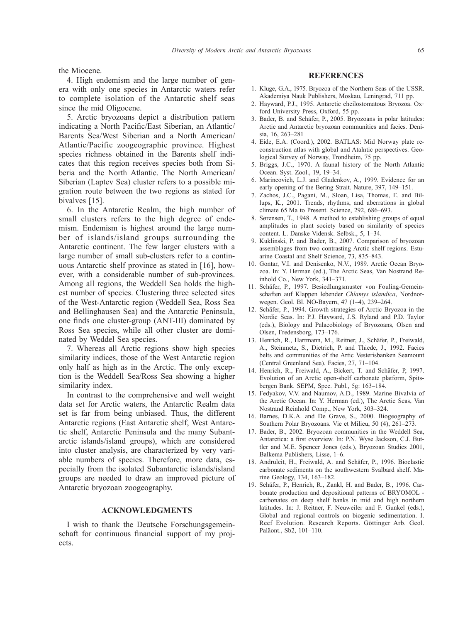the Miocene.

4. High endemism and the large number of genera with only one species in Antarctic waters refer to complete isolation of the Antarctic shelf seas since the mid Oligocene.

5. Arctic bryozoans depict a distribution pattern indicating a North Pacific/East Siberian, an Atlantic/ Barents Sea/West Siberian and a North American/ Atlantic/Pacific zoogeographic province. Highest species richness obtained in the Barents shelf indicates that this region receives species both from Siberia and the North Atlantic. The North American/ Siberian (Laptev Sea) cluster refers to a possible migration route between the two regions as stated for bivalves [15].

6. In the Antarctic Realm, the high number of small clusters refers to the high degree of endemism. Endemism is highest around the large number of islands/island groups surrounding the Antarctic continent. The few larger clusters with a large number of small sub-clusters refer to a continuous Antarctic shelf province as stated in [16], however, with a considerable number of sub-provinces. Among all regions, the Weddell Sea holds the highest number of species. Clustering three selected sites of the West-Antarctic region (Weddell Sea, Ross Sea and Bellinghausen Sea) and the Antarctic Peninsula, one finds one cluster-group (ANT-III) dominated by Ross Sea species, while all other cluster are dominated by Weddel Sea species.

7. Whereas all Arctic regions show high species similarity indices, those of the West Antarctic region only half as high as in the Arctic. The only exception is the Weddell Sea/Ross Sea showing a higher similarity index.

In contrast to the comprehensive and well weight data set for Arctic waters, the Antarctic Realm data set is far from being unbiased. Thus, the different Antarctic regions (East Antarctic shelf, West Antarctic shelf, Antarctic Peninsula and the many Subantarctic islands/island groups), which are considered into cluster analysis, are characterized by very variable numbers of species. Therefore, more data, especially from the isolated Subantarctic islands/island groups are needed to draw an improved picture of Antarctic bryozoan zoogeography.

### **ACKNOWLEDGMENTS**

I wish to thank the Deutsche Forschungsgemeinschaft for continuous financial support of my projects.

## **REFERENCES**

- 1. Kluge, G.A., 1975. Bryozoa of the Northern Seas of the USSR. Akademiya Nauk Publishers, Moskau, Leningrad, 711 pp.
- 2. Hayward, P.J., 1995. Antarctic cheilostomatous Bryozoa. Oxford University Press, Oxford, 55 pp.
- 3. Bader, B. and Schäfer, P., 2005. Bryozoans in polar latitudes: Arctic and Antarctic bryozoan communities and facies. Denisia, 16, 263–281
- 4. Eide, E.A. (Coord.), 2002. BATLAS: Mid Norway plate reconstruction atlas with global and Atalntic perspectives. Geological Survey of Norway, Trondheim, 75 pp.
- 5. Briggs, J.C., 1970. A faunal history of the North Atlantic Ocean. Syst. Zool., 19, 19–34.
- 6. Marincovich, L.J. and Gladenkov, A., 1999. Evidence for an early opening of the Bering Strait. Nature, 397, 149–151.
- 7. Zachos, J.C., Pagani, M., Sloan, Lisa, Thomas, E. and Billups, K., 2001. Trends, rhythms, and aberrations in global climate 65 Ma to Present. Science, 292, 686–693.
- 8. Sørensen, T., 1948. A method to establishing groups of equal amplitudes in plant society based on similarity of species content. L. Danske Vidensk. Selbsk., 5, 1–34.
- 9. Kuklinski, P. and Bader, B., 2007. Comparison of bryozoan assemblages from two contrasting Arctic shelf regions. Estuarine Coastal and Shelf Science, 73, 835–843.
- 10. Gontar, V.I. and Denisenko, N.V., 1989. Arctic Ocean Bryozoa. In: Y. Herman (ed.), The Arctic Seas, Van Nostrand Reinhold Co., New York, 341–371.
- 11. Schäfer, P., 1997. Besiedlungsmuster von Fouling-Gemeinschaften auf Klappen lebender *Chlamys islandica*, Nordnorwegen. Geol. Bl. NO-Bayern, 47 (1–4), 239–264.
- 12. Schäfer, P., 1994. Growth strategies of Arctic Bryozoa in the Nordic Seas. In: P.J. Hayward, J.S. Ryland and P.D. Taylor (eds.), Biology and Palaeobiology of Bryozoans, Olsen and Olsen, Fredensborg, 173–176.
- 13. Henrich, R., Hartmann, M., Reitner, J., Schäfer, P., Freiwald, A., Steinmetz, S., Dietrich, P. and Thiede, J., 1992. Facies belts and communities of the Artic Vesterisbanken Seamount (Central Greenland Sea). Facies, 27, 71–104.
- 14. Henrich, R., Freiwald, A., Bickert, T. and Schäfer, P, 1997. Evolution of an Arctic open-shelf carbonate platform, Spitsbergen Bank. SEPM, Spec. Publ., 5g: 163–184.
- 15. Fedyakov, V.V. and Naumov, A.D., 1989. Marine Bivalvia of the Arctic Ocean. In: Y. Herman (ed.), The Arctic Seas, Van Nostrand Reinhold Comp., New York, 303–324.
- 16. Barnes, D.K.A. and De Grave, S., 2000. Biogeography of Southern Polar Bryozoans. Vie et Milieu, 50 (4), 261–273.
- 17. Bader, B., 2002. Bryozoan communities in the Weddell Sea, Antarctica: a first overview. In: P.N. Wyse Jackson, C.J. Buttler and M.E. Spencer Jones (eds.), Bryozoan Studies 2001, Balkema Publishers, Lisse, 1–6.
- 18. Andruleit, H., Freiwald, A. and Schäfer, P., 1996. Bioclastic carbonate sediments on the southwestern Svalbard shelf. Marine Geology, 134, 163–182.
- 19. Schäfer, P., Henrich, R., Zankl, H. and Bader, B., 1996. Carbonate production and depositional patterns of BRYOMOL carbonates on deep shelf banks in mid and high northern latitudes. In: J. Reitner, F. Neuweiler and F. Gunkel (eds.), Global and regional controls on biogenic sedimentation. I. Reef Evolution. Research Reports. Göttinger Arb. Geol. Paläont., Sb2, 101–110.